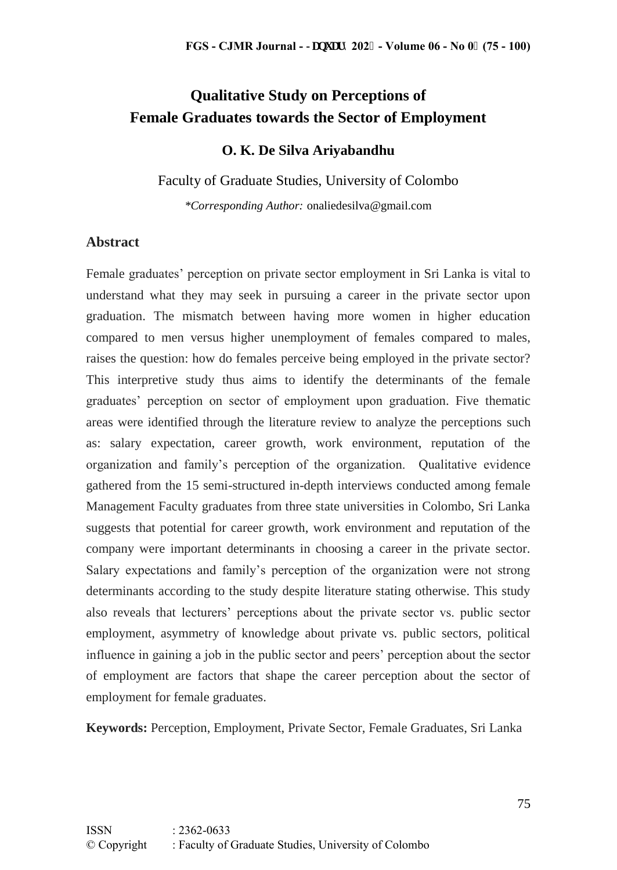# **Qualitative Study on Perceptions of Female Graduates towards the Sector of Employment**

#### **O. K. De Silva Ariyabandhu**

Faculty of Graduate Studies, University of Colombo *\*Corresponding Author:* onaliedesilva@gmail.com

#### **Abstract**

Female graduates' perception on private sector employment in Sri Lanka is vital to understand what they may seek in pursuing a career in the private sector upon graduation. The mismatch between having more women in higher education compared to men versus higher unemployment of females compared to males, raises the question: how do females perceive being employed in the private sector? This interpretive study thus aims to identify the determinants of the female graduates' perception on sector of employment upon graduation. Five thematic areas were identified through the literature review to analyze the perceptions such as: salary expectation, career growth, work environment, reputation of the organization and family's perception of the organization. Qualitative evidence gathered from the 15 semi-structured in-depth interviews conducted among female Management Faculty graduates from three state universities in Colombo, Sri Lanka suggests that potential for career growth, work environment and reputation of the company were important determinants in choosing a career in the private sector. Salary expectations and family's perception of the organization were not strong determinants according to the study despite literature stating otherwise. This study also reveals that lecturers' perceptions about the private sector vs. public sector employment, asymmetry of knowledge about private vs. public sectors, political influence in gaining a job in the public sector and peers' perception about the sector of employment are factors that shape the career perception about the sector of employment for female graduates.

**Keywords:** Perception, Employment, Private Sector, Female Graduates, Sri Lanka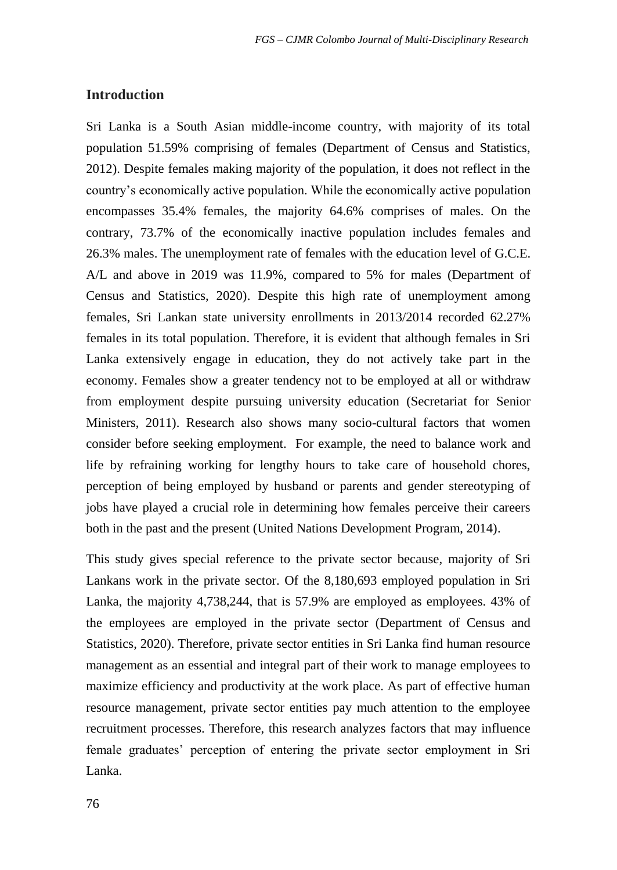#### **Introduction**

Sri Lanka is a South Asian middle-income country, with majority of its total population 51.59% comprising of females (Department of Census and Statistics, 2012). Despite females making majority of the population, it does not reflect in the country's economically active population. While the economically active population encompasses 35.4% females, the majority 64.6% comprises of males. On the contrary, 73.7% of the economically inactive population includes females and 26.3% males. The unemployment rate of females with the education level of G.C.E. A/L and above in 2019 was 11.9%, compared to 5% for males (Department of Census and Statistics, 2020). Despite this high rate of unemployment among females, Sri Lankan state university enrollments in 2013/2014 recorded 62.27% females in its total population. Therefore, it is evident that although females in Sri Lanka extensively engage in education, they do not actively take part in the economy. Females show a greater tendency not to be employed at all or withdraw from employment despite pursuing university education (Secretariat for Senior Ministers, 2011). Research also shows many socio-cultural factors that women consider before seeking employment. For example, the need to balance work and life by refraining working for lengthy hours to take care of household chores, perception of being employed by husband or parents and gender stereotyping of jobs have played a crucial role in determining how females perceive their careers both in the past and the present (United Nations Development Program, 2014).

This study gives special reference to the private sector because, majority of Sri Lankans work in the private sector. Of the 8,180,693 employed population in Sri Lanka, the majority 4,738,244, that is 57.9% are employed as employees. 43% of the employees are employed in the private sector (Department of Census and Statistics, 2020). Therefore, private sector entities in Sri Lanka find human resource management as an essential and integral part of their work to manage employees to maximize efficiency and productivity at the work place. As part of effective human resource management, private sector entities pay much attention to the employee recruitment processes. Therefore, this research analyzes factors that may influence female graduates' perception of entering the private sector employment in Sri Lanka.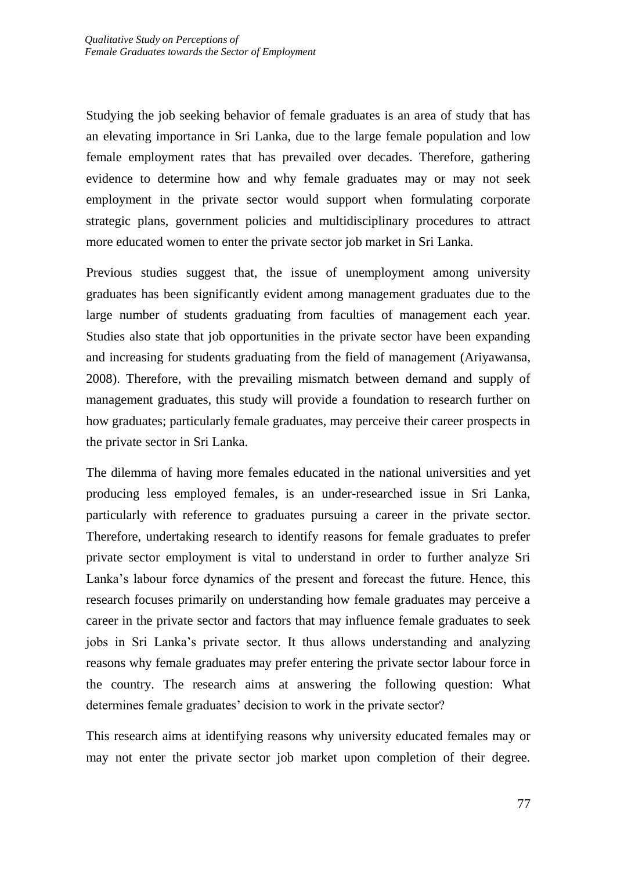Studying the job seeking behavior of female graduates is an area of study that has an elevating importance in Sri Lanka, due to the large female population and low female employment rates that has prevailed over decades. Therefore, gathering evidence to determine how and why female graduates may or may not seek employment in the private sector would support when formulating corporate strategic plans, government policies and multidisciplinary procedures to attract more educated women to enter the private sector job market in Sri Lanka.

Previous studies suggest that, the issue of unemployment among university graduates has been significantly evident among management graduates due to the large number of students graduating from faculties of management each year. Studies also state that job opportunities in the private sector have been expanding and increasing for students graduating from the field of management (Ariyawansa, 2008). Therefore, with the prevailing mismatch between demand and supply of management graduates, this study will provide a foundation to research further on how graduates; particularly female graduates, may perceive their career prospects in the private sector in Sri Lanka.

The dilemma of having more females educated in the national universities and yet producing less employed females, is an under-researched issue in Sri Lanka, particularly with reference to graduates pursuing a career in the private sector. Therefore, undertaking research to identify reasons for female graduates to prefer private sector employment is vital to understand in order to further analyze Sri Lanka's labour force dynamics of the present and forecast the future. Hence, this research focuses primarily on understanding how female graduates may perceive a career in the private sector and factors that may influence female graduates to seek jobs in Sri Lanka's private sector. It thus allows understanding and analyzing reasons why female graduates may prefer entering the private sector labour force in the country. The research aims at answering the following question: What determines female graduates' decision to work in the private sector?

This research aims at identifying reasons why university educated females may or may not enter the private sector job market upon completion of their degree.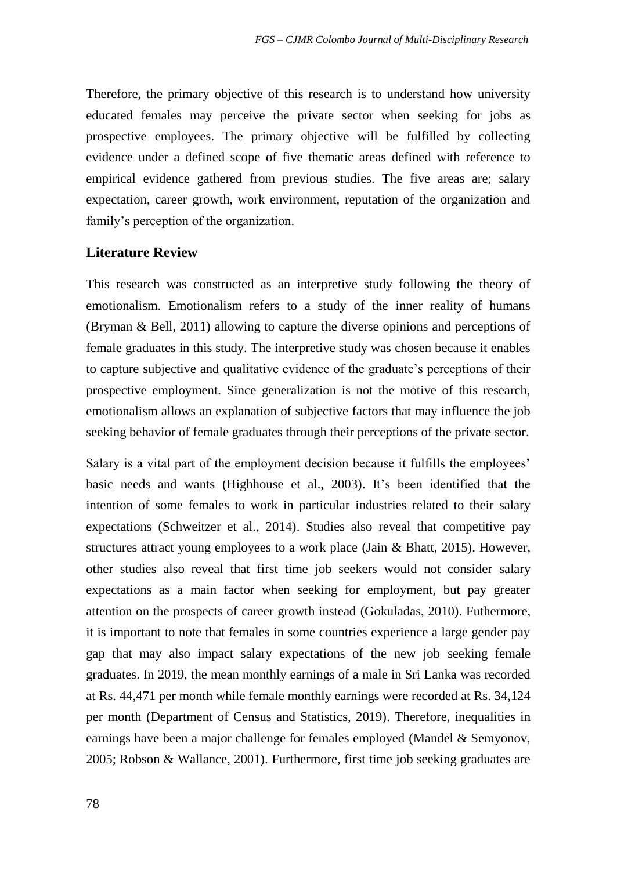Therefore, the primary objective of this research is to understand how university educated females may perceive the private sector when seeking for jobs as prospective employees. The primary objective will be fulfilled by collecting evidence under a defined scope of five thematic areas defined with reference to empirical evidence gathered from previous studies. The five areas are; salary expectation, career growth, work environment, reputation of the organization and family's perception of the organization.

#### **Literature Review**

This research was constructed as an interpretive study following the theory of emotionalism. Emotionalism refers to a study of the inner reality of humans (Bryman & Bell, 2011) allowing to capture the diverse opinions and perceptions of female graduates in this study. The interpretive study was chosen because it enables to capture subjective and qualitative evidence of the graduate's perceptions of their prospective employment. Since generalization is not the motive of this research, emotionalism allows an explanation of subjective factors that may influence the job seeking behavior of female graduates through their perceptions of the private sector.

Salary is a vital part of the employment decision because it fulfills the employees' basic needs and wants (Highhouse et al., 2003). It's been identified that the intention of some females to work in particular industries related to their salary expectations (Schweitzer et al., 2014). Studies also reveal that competitive pay structures attract young employees to a work place (Jain & Bhatt, 2015). However, other studies also reveal that first time job seekers would not consider salary expectations as a main factor when seeking for employment, but pay greater attention on the prospects of career growth instead (Gokuladas, 2010). Futhermore, it is important to note that females in some countries experience a large gender pay gap that may also impact salary expectations of the new job seeking female graduates. In 2019, the mean monthly earnings of a male in Sri Lanka was recorded at Rs. 44,471 per month while female monthly earnings were recorded at Rs. 34,124 per month (Department of Census and Statistics, 2019). Therefore, inequalities in earnings have been a major challenge for females employed (Mandel & Semyonov, 2005; Robson & Wallance, 2001). Furthermore, first time job seeking graduates are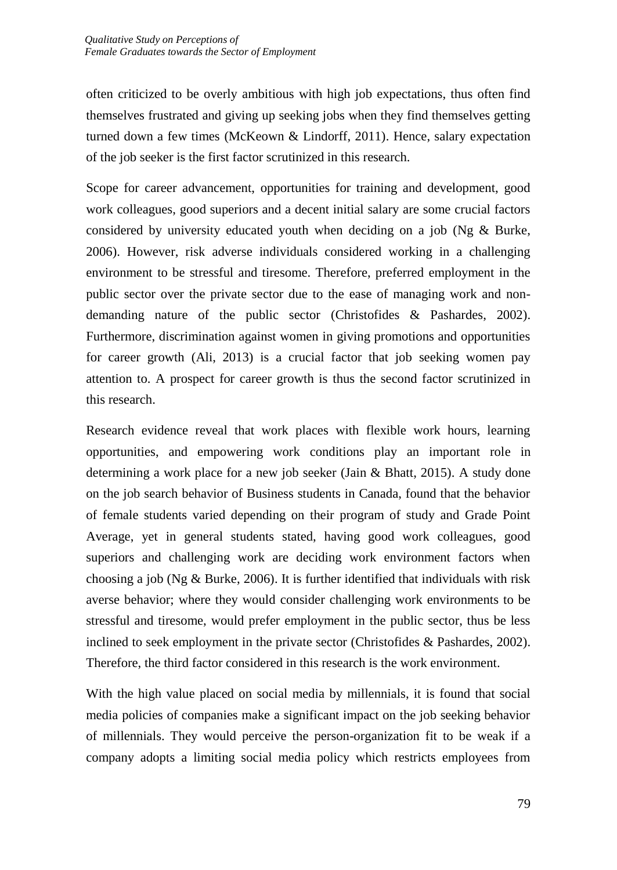often criticized to be overly ambitious with high job expectations, thus often find themselves frustrated and giving up seeking jobs when they find themselves getting turned down a few times (McKeown & Lindorff, 2011). Hence, salary expectation of the job seeker is the first factor scrutinized in this research.

Scope for career advancement, opportunities for training and development, good work colleagues, good superiors and a decent initial salary are some crucial factors considered by university educated youth when deciding on a job (Ng & Burke, 2006). However, risk adverse individuals considered working in a challenging environment to be stressful and tiresome. Therefore, preferred employment in the public sector over the private sector due to the ease of managing work and nondemanding nature of the public sector (Christofides & Pashardes, 2002). Furthermore, discrimination against women in giving promotions and opportunities for career growth (Ali, 2013) is a crucial factor that job seeking women pay attention to. A prospect for career growth is thus the second factor scrutinized in this research.

Research evidence reveal that work places with flexible work hours, learning opportunities, and empowering work conditions play an important role in determining a work place for a new job seeker (Jain & Bhatt, 2015). A study done on the job search behavior of Business students in Canada, found that the behavior of female students varied depending on their program of study and Grade Point Average, yet in general students stated, having good work colleagues, good superiors and challenging work are deciding work environment factors when choosing a job (Ng  $&$  Burke, 2006). It is further identified that individuals with risk averse behavior; where they would consider challenging work environments to be stressful and tiresome, would prefer employment in the public sector, thus be less inclined to seek employment in the private sector (Christofides & Pashardes, 2002). Therefore, the third factor considered in this research is the work environment.

With the high value placed on social media by millennials, it is found that social media policies of companies make a significant impact on the job seeking behavior of millennials. They would perceive the person-organization fit to be weak if a company adopts a limiting social media policy which restricts employees from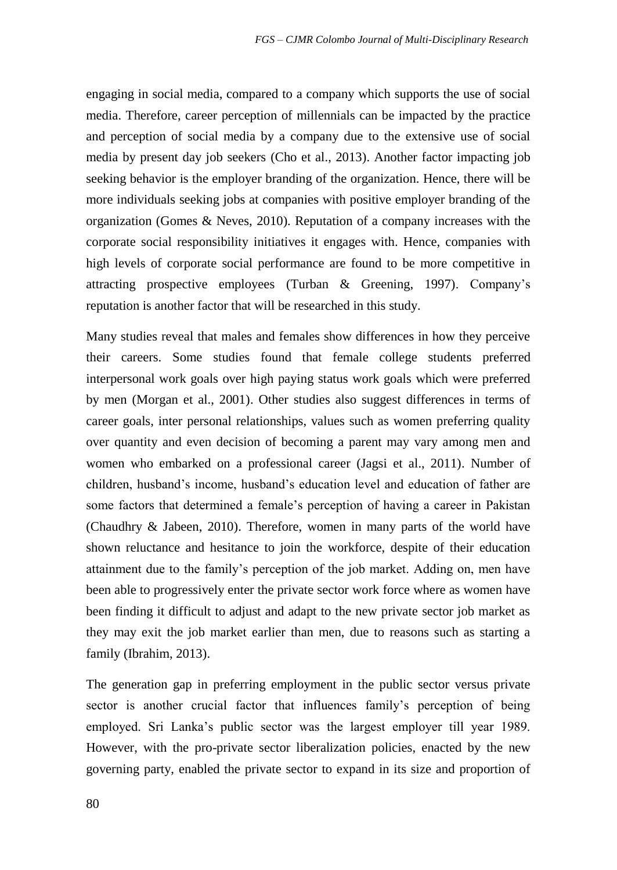engaging in social media, compared to a company which supports the use of social media. Therefore, career perception of millennials can be impacted by the practice and perception of social media by a company due to the extensive use of social media by present day job seekers (Cho et al., 2013). Another factor impacting job seeking behavior is the employer branding of the organization. Hence, there will be more individuals seeking jobs at companies with positive employer branding of the organization (Gomes & Neves, 2010). Reputation of a company increases with the corporate social responsibility initiatives it engages with. Hence, companies with high levels of corporate social performance are found to be more competitive in attracting prospective employees (Turban & Greening, 1997). Company's reputation is another factor that will be researched in this study.

Many studies reveal that males and females show differences in how they perceive their careers. Some studies found that female college students preferred interpersonal work goals over high paying status work goals which were preferred by men (Morgan et al., 2001). Other studies also suggest differences in terms of career goals, inter personal relationships, values such as women preferring quality over quantity and even decision of becoming a parent may vary among men and women who embarked on a professional career (Jagsi et al., 2011). Number of children, husband's income, husband's education level and education of father are some factors that determined a female's perception of having a career in Pakistan (Chaudhry & Jabeen, 2010). Therefore, women in many parts of the world have shown reluctance and hesitance to join the workforce, despite of their education attainment due to the family's perception of the job market. Adding on, men have been able to progressively enter the private sector work force where as women have been finding it difficult to adjust and adapt to the new private sector job market as they may exit the job market earlier than men, due to reasons such as starting a family (Ibrahim, 2013).

The generation gap in preferring employment in the public sector versus private sector is another crucial factor that influences family's perception of being employed. Sri Lanka's public sector was the largest employer till year 1989. However, with the pro-private sector liberalization policies, enacted by the new governing party, enabled the private sector to expand in its size and proportion of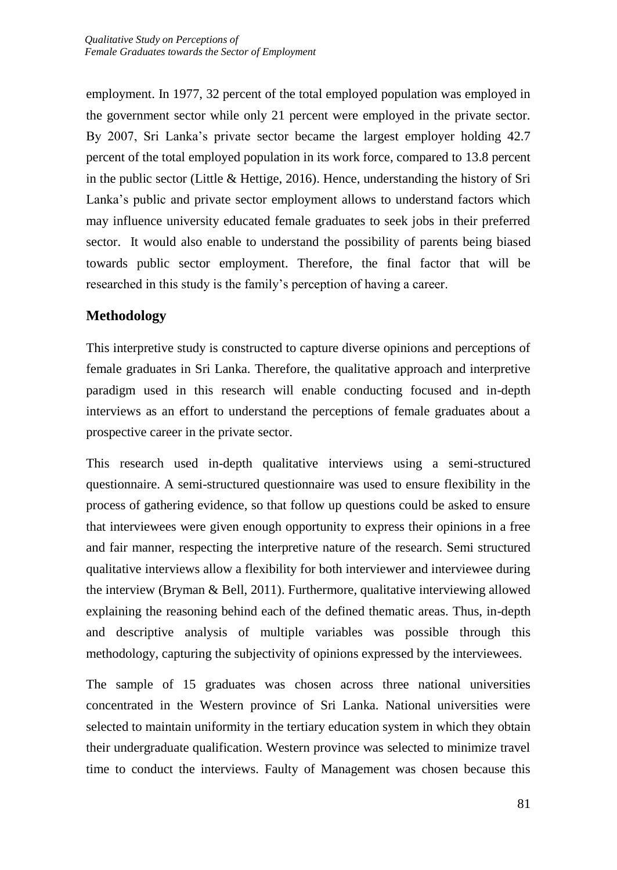employment. In 1977, 32 percent of the total employed population was employed in the government sector while only 21 percent were employed in the private sector. By 2007, Sri Lanka's private sector became the largest employer holding 42.7 percent of the total employed population in its work force, compared to 13.8 percent in the public sector (Little & Hettige, 2016). Hence, understanding the history of Sri Lanka's public and private sector employment allows to understand factors which may influence university educated female graduates to seek jobs in their preferred sector. It would also enable to understand the possibility of parents being biased towards public sector employment. Therefore, the final factor that will be researched in this study is the family's perception of having a career.

## **Methodology**

This interpretive study is constructed to capture diverse opinions and perceptions of female graduates in Sri Lanka. Therefore, the qualitative approach and interpretive paradigm used in this research will enable conducting focused and in-depth interviews as an effort to understand the perceptions of female graduates about a prospective career in the private sector.

This research used in-depth qualitative interviews using a semi-structured questionnaire. A semi-structured questionnaire was used to ensure flexibility in the process of gathering evidence, so that follow up questions could be asked to ensure that interviewees were given enough opportunity to express their opinions in a free and fair manner, respecting the interpretive nature of the research. Semi structured qualitative interviews allow a flexibility for both interviewer and interviewee during the interview (Bryman & Bell, 2011). Furthermore, qualitative interviewing allowed explaining the reasoning behind each of the defined thematic areas. Thus, in-depth and descriptive analysis of multiple variables was possible through this methodology, capturing the subjectivity of opinions expressed by the interviewees.

The sample of 15 graduates was chosen across three national universities concentrated in the Western province of Sri Lanka. National universities were selected to maintain uniformity in the tertiary education system in which they obtain their undergraduate qualification. Western province was selected to minimize travel time to conduct the interviews. Faulty of Management was chosen because this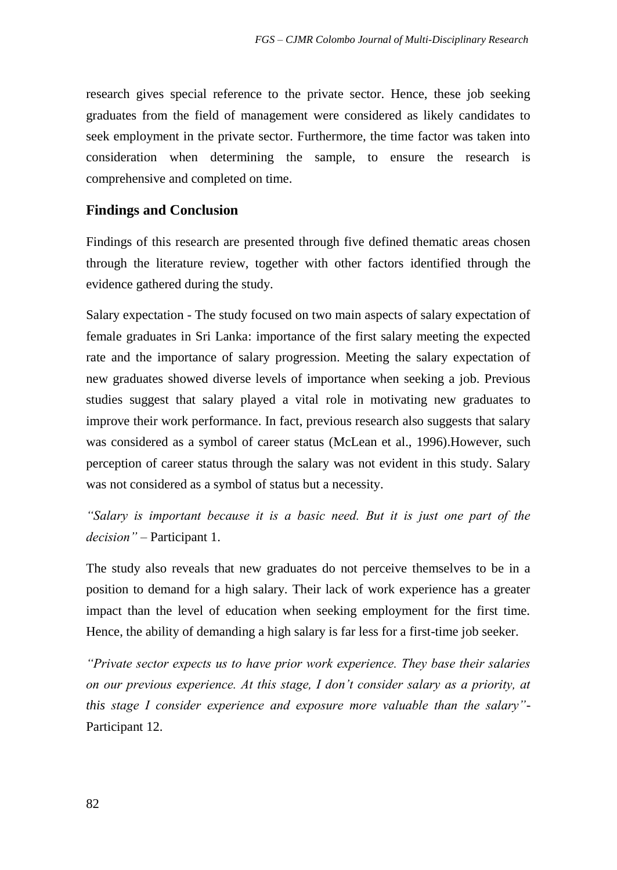research gives special reference to the private sector. Hence, these job seeking graduates from the field of management were considered as likely candidates to seek employment in the private sector. Furthermore, the time factor was taken into consideration when determining the sample, to ensure the research is comprehensive and completed on time.

## **Findings and Conclusion**

Findings of this research are presented through five defined thematic areas chosen through the literature review, together with other factors identified through the evidence gathered during the study.

Salary expectation - The study focused on two main aspects of salary expectation of female graduates in Sri Lanka: importance of the first salary meeting the expected rate and the importance of salary progression. Meeting the salary expectation of new graduates showed diverse levels of importance when seeking a job. Previous studies suggest that salary played a vital role in motivating new graduates to improve their work performance. In fact, previous research also suggests that salary was considered as a symbol of career status (McLean et al., 1996).However, such perception of career status through the salary was not evident in this study. Salary was not considered as a symbol of status but a necessity.

*"Salary is important because it is a basic need. But it is just one part of the decision" –* Participant 1.

The study also reveals that new graduates do not perceive themselves to be in a position to demand for a high salary. Their lack of work experience has a greater impact than the level of education when seeking employment for the first time. Hence, the ability of demanding a high salary is far less for a first-time job seeker.

*"Private sector expects us to have prior work experience. They base their salaries on our previous experience. At this stage, I don't consider salary as a priority, at this stage I consider experience and exposure more valuable than the salary"*- Participant 12.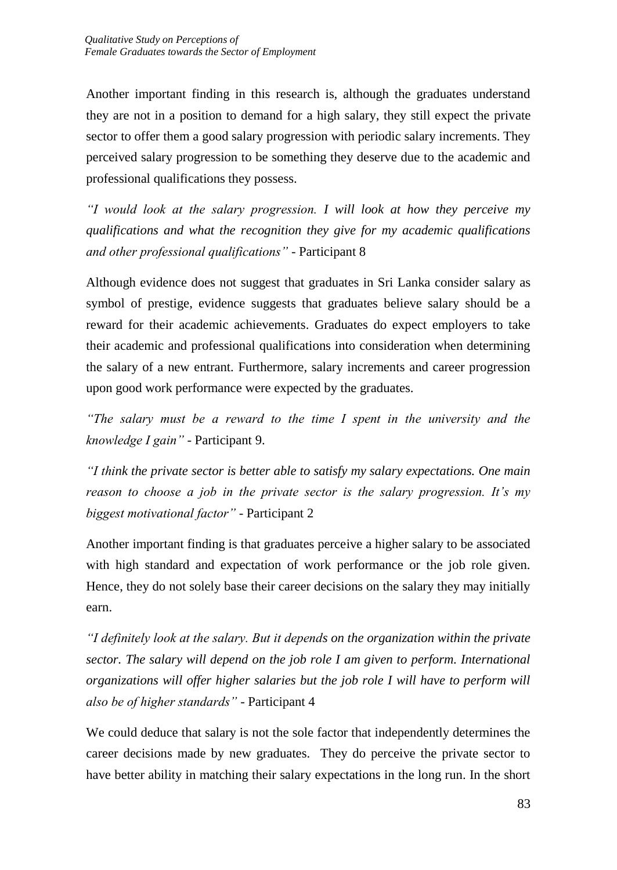Another important finding in this research is, although the graduates understand they are not in a position to demand for a high salary, they still expect the private sector to offer them a good salary progression with periodic salary increments. They perceived salary progression to be something they deserve due to the academic and professional qualifications they possess.

*"I would look at the salary progression. I will look at how they perceive my qualifications and what the recognition they give for my academic qualifications and other professional qualifications"* - Participant 8

Although evidence does not suggest that graduates in Sri Lanka consider salary as symbol of prestige, evidence suggests that graduates believe salary should be a reward for their academic achievements. Graduates do expect employers to take their academic and professional qualifications into consideration when determining the salary of a new entrant. Furthermore, salary increments and career progression upon good work performance were expected by the graduates.

*"The salary must be a reward to the time I spent in the university and the knowledge I gain"* - Participant 9.

*"I think the private sector is better able to satisfy my salary expectations. One main reason to choose a job in the private sector is the salary progression. It's my biggest motivational factor"* - Participant 2

Another important finding is that graduates perceive a higher salary to be associated with high standard and expectation of work performance or the job role given. Hence, they do not solely base their career decisions on the salary they may initially earn.

*"I definitely look at the salary. But it depends on the organization within the private sector. The salary will depend on the job role I am given to perform. International organizations will offer higher salaries but the job role I will have to perform will also be of higher standards"* - Participant 4

We could deduce that salary is not the sole factor that independently determines the career decisions made by new graduates. They do perceive the private sector to have better ability in matching their salary expectations in the long run. In the short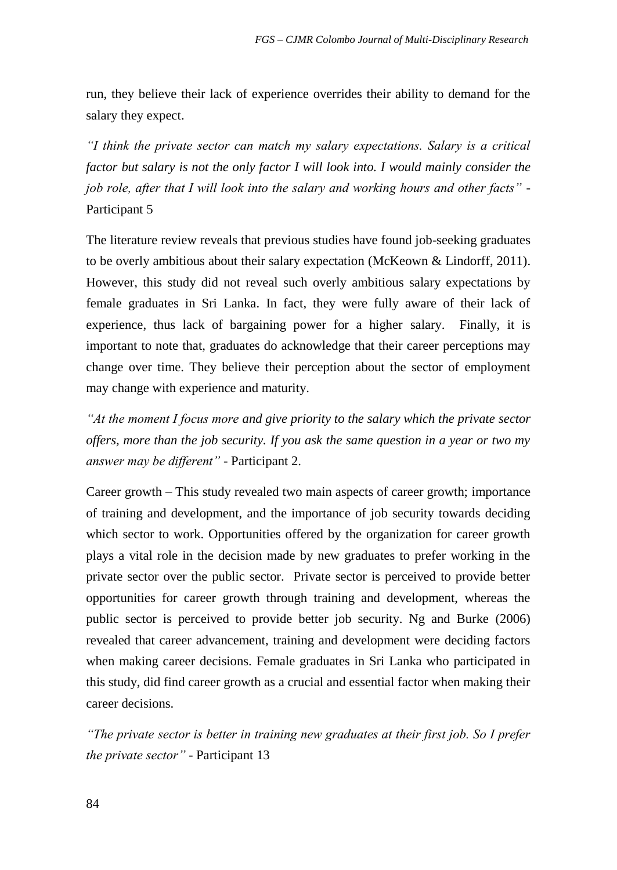run, they believe their lack of experience overrides their ability to demand for the salary they expect.

*"I think the private sector can match my salary expectations. Salary is a critical factor but salary is not the only factor I will look into. I would mainly consider the job role, after that I will look into the salary and working hours and other facts"* - Participant 5

The literature review reveals that previous studies have found job-seeking graduates to be overly ambitious about their salary expectation (McKeown & Lindorff, 2011). However, this study did not reveal such overly ambitious salary expectations by female graduates in Sri Lanka. In fact, they were fully aware of their lack of experience, thus lack of bargaining power for a higher salary. Finally, it is important to note that, graduates do acknowledge that their career perceptions may change over time. They believe their perception about the sector of employment may change with experience and maturity.

*"At the moment I focus more and give priority to the salary which the private sector offers, more than the job security. If you ask the same question in a year or two my answer may be different" -* Participant 2.

Career growth – This study revealed two main aspects of career growth; importance of training and development, and the importance of job security towards deciding which sector to work. Opportunities offered by the organization for career growth plays a vital role in the decision made by new graduates to prefer working in the private sector over the public sector. Private sector is perceived to provide better opportunities for career growth through training and development, whereas the public sector is perceived to provide better job security. Ng and Burke (2006) revealed that career advancement, training and development were deciding factors when making career decisions. Female graduates in Sri Lanka who participated in this study, did find career growth as a crucial and essential factor when making their career decisions.

*"The private sector is better in training new graduates at their first job. So I prefer the private sector"* - Participant 13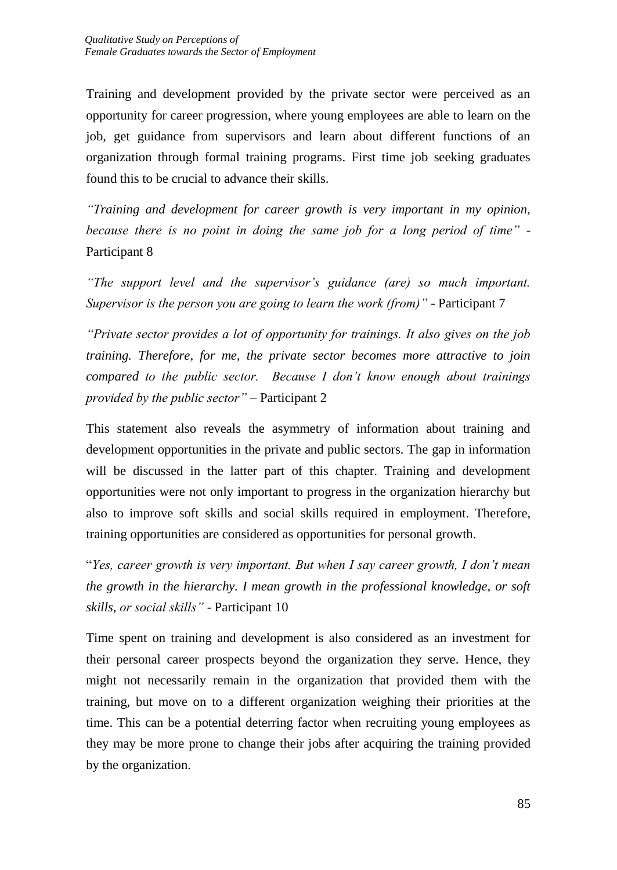Training and development provided by the private sector were perceived as an opportunity for career progression, where young employees are able to learn on the job, get guidance from supervisors and learn about different functions of an organization through formal training programs. First time job seeking graduates found this to be crucial to advance their skills.

*"Training and development for career growth is very important in my opinion, because there is no point in doing the same job for a long period of time"* - Participant 8

*"The support level and the supervisor's guidance (are) so much important. Supervisor is the person you are going to learn the work (from)"* - Participant 7

*"Private sector provides a lot of opportunity for trainings. It also gives on the job training. Therefore, for me, the private sector becomes more attractive to join compared to the public sector. Because I don't know enough about trainings provided by the public sector"* – Participant 2

This statement also reveals the asymmetry of information about training and development opportunities in the private and public sectors. The gap in information will be discussed in the latter part of this chapter. Training and development opportunities were not only important to progress in the organization hierarchy but also to improve soft skills and social skills required in employment. Therefore, training opportunities are considered as opportunities for personal growth.

"*Yes, career growth is very important. But when I say career growth, I don't mean the growth in the hierarchy. I mean growth in the professional knowledge, or soft skills, or social skills"* - Participant 10

Time spent on training and development is also considered as an investment for their personal career prospects beyond the organization they serve. Hence, they might not necessarily remain in the organization that provided them with the training, but move on to a different organization weighing their priorities at the time. This can be a potential deterring factor when recruiting young employees as they may be more prone to change their jobs after acquiring the training provided by the organization.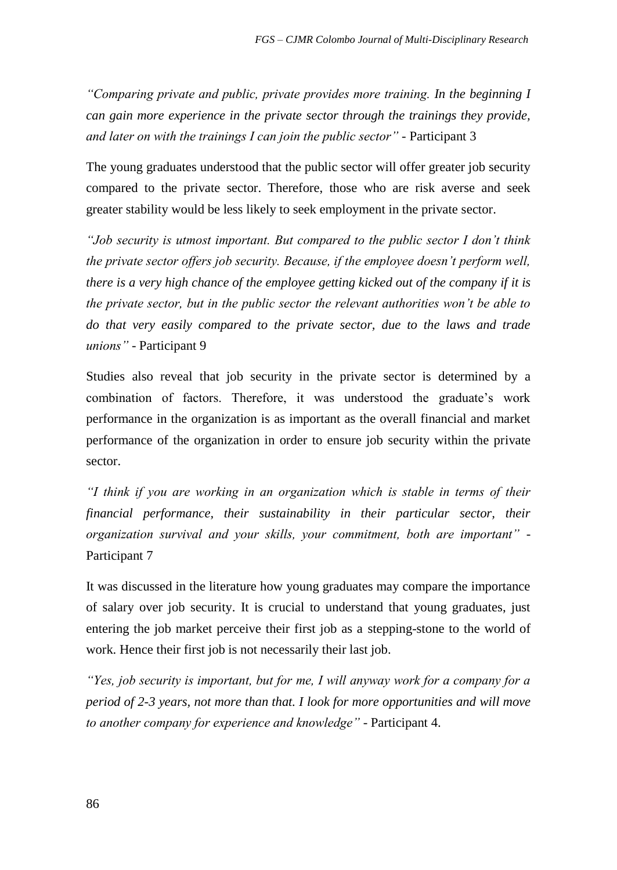*"Comparing private and public, private provides more training. In the beginning I can gain more experience in the private sector through the trainings they provide, and later on with the trainings I can join the public sector" -* Participant 3

The young graduates understood that the public sector will offer greater job security compared to the private sector. Therefore, those who are risk averse and seek greater stability would be less likely to seek employment in the private sector.

*"Job security is utmost important. But compared to the public sector I don't think the private sector offers job security. Because, if the employee doesn't perform well, there is a very high chance of the employee getting kicked out of the company if it is the private sector, but in the public sector the relevant authorities won't be able to do that very easily compared to the private sector, due to the laws and trade unions"* - Participant 9

Studies also reveal that job security in the private sector is determined by a combination of factors. Therefore, it was understood the graduate's work performance in the organization is as important as the overall financial and market performance of the organization in order to ensure job security within the private sector.

*"I think if you are working in an organization which is stable in terms of their financial performance, their sustainability in their particular sector, their organization survival and your skills, your commitment, both are important"* - Participant 7

It was discussed in the literature how young graduates may compare the importance of salary over job security. It is crucial to understand that young graduates, just entering the job market perceive their first job as a stepping-stone to the world of work. Hence their first job is not necessarily their last job.

*"Yes, job security is important, but for me, I will anyway work for a company for a period of 2-3 years, not more than that. I look for more opportunities and will move to another company for experience and knowledge"* - Participant 4.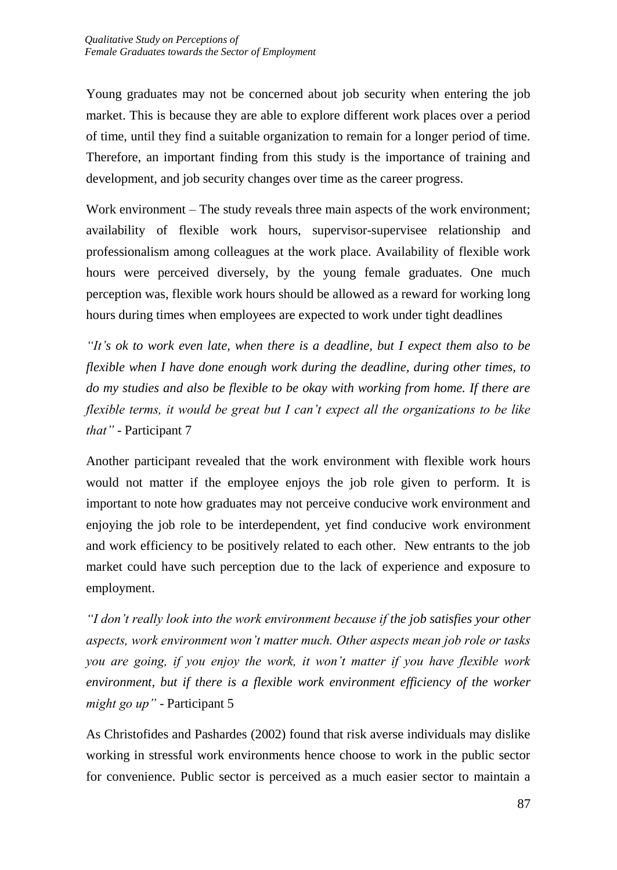Young graduates may not be concerned about job security when entering the job market. This is because they are able to explore different work places over a period of time, until they find a suitable organization to remain for a longer period of time. Therefore, an important finding from this study is the importance of training and development, and job security changes over time as the career progress.

Work environment – The study reveals three main aspects of the work environment; availability of flexible work hours, supervisor-supervisee relationship and professionalism among colleagues at the work place. Availability of flexible work hours were perceived diversely, by the young female graduates. One much perception was, flexible work hours should be allowed as a reward for working long hours during times when employees are expected to work under tight deadlines

*"It's ok to work even late, when there is a deadline, but I expect them also to be flexible when I have done enough work during the deadline, during other times, to do my studies and also be flexible to be okay with working from home. If there are flexible terms, it would be great but I can't expect all the organizations to be like that"* - Participant 7

Another participant revealed that the work environment with flexible work hours would not matter if the employee enjoys the job role given to perform. It is important to note how graduates may not perceive conducive work environment and enjoying the job role to be interdependent, yet find conducive work environment and work efficiency to be positively related to each other. New entrants to the job market could have such perception due to the lack of experience and exposure to employment.

*"I don't really look into the work environment because if the job satisfies your other aspects, work environment won't matter much. Other aspects mean job role or tasks you are going, if you enjoy the work, it won't matter if you have flexible work environment, but if there is a flexible work environment efficiency of the worker might go up"* - Participant 5

As Christofides and Pashardes (2002) found that risk averse individuals may dislike working in stressful work environments hence choose to work in the public sector for convenience. Public sector is perceived as a much easier sector to maintain a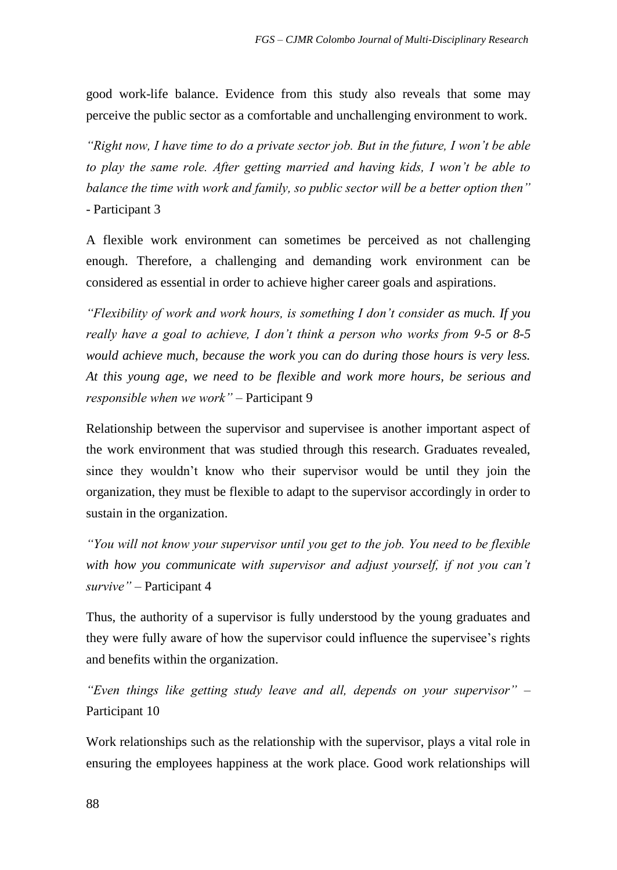good work-life balance. Evidence from this study also reveals that some may perceive the public sector as a comfortable and unchallenging environment to work.

*"Right now, I have time to do a private sector job. But in the future, I won't be able to play the same role. After getting married and having kids, I won't be able to balance the time with work and family, so public sector will be a better option then"* - Participant 3

A flexible work environment can sometimes be perceived as not challenging enough. Therefore, a challenging and demanding work environment can be considered as essential in order to achieve higher career goals and aspirations.

*"Flexibility of work and work hours, is something I don't consider as much. If you really have a goal to achieve, I don't think a person who works from 9-5 or 8-5 would achieve much, because the work you can do during those hours is very less. At this young age, we need to be flexible and work more hours, be serious and responsible when we work"* – Participant 9

Relationship between the supervisor and supervisee is another important aspect of the work environment that was studied through this research. Graduates revealed, since they wouldn't know who their supervisor would be until they join the organization, they must be flexible to adapt to the supervisor accordingly in order to sustain in the organization.

*"You will not know your supervisor until you get to the job. You need to be flexible with how you communicate with supervisor and adjust yourself, if not you can't survive"* – Participant 4

Thus, the authority of a supervisor is fully understood by the young graduates and they were fully aware of how the supervisor could influence the supervisee's rights and benefits within the organization.

*"Even things like getting study leave and all, depends on your supervisor"* – Participant 10

Work relationships such as the relationship with the supervisor, plays a vital role in ensuring the employees happiness at the work place. Good work relationships will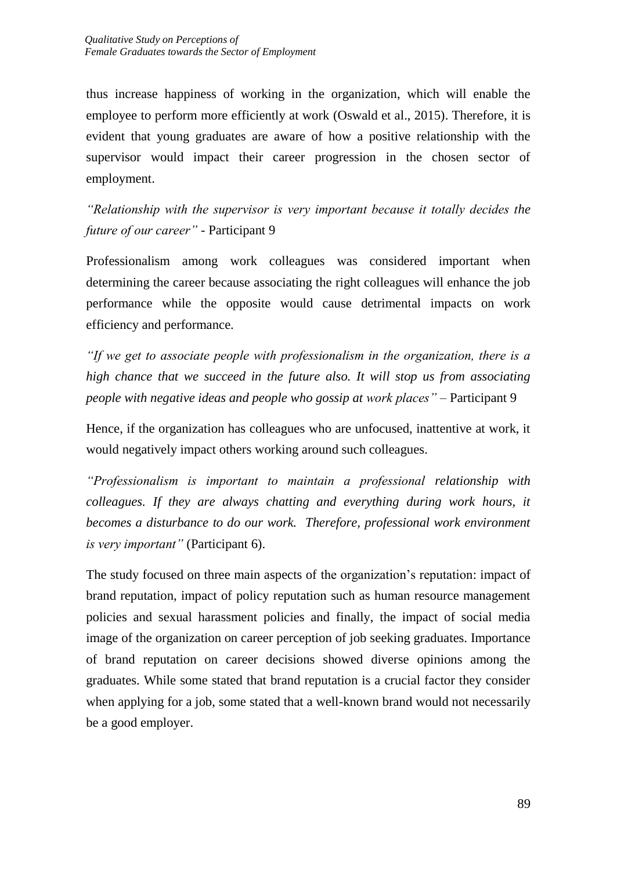thus increase happiness of working in the organization, which will enable the employee to perform more efficiently at work (Oswald et al., 2015). Therefore, it is evident that young graduates are aware of how a positive relationship with the supervisor would impact their career progression in the chosen sector of employment.

*"Relationship with the supervisor is very important because it totally decides the future of our career" -* Participant 9

Professionalism among work colleagues was considered important when determining the career because associating the right colleagues will enhance the job performance while the opposite would cause detrimental impacts on work efficiency and performance.

*"If we get to associate people with professionalism in the organization, there is a high chance that we succeed in the future also. It will stop us from associating people with negative ideas and people who gossip at work places"* – Participant 9

Hence, if the organization has colleagues who are unfocused, inattentive at work, it would negatively impact others working around such colleagues.

*"Professionalism is important to maintain a professional relationship with colleagues. If they are always chatting and everything during work hours, it becomes a disturbance to do our work. Therefore, professional work environment is very important"* (Participant 6).

The study focused on three main aspects of the organization's reputation: impact of brand reputation, impact of policy reputation such as human resource management policies and sexual harassment policies and finally, the impact of social media image of the organization on career perception of job seeking graduates. Importance of brand reputation on career decisions showed diverse opinions among the graduates. While some stated that brand reputation is a crucial factor they consider when applying for a job, some stated that a well-known brand would not necessarily be a good employer.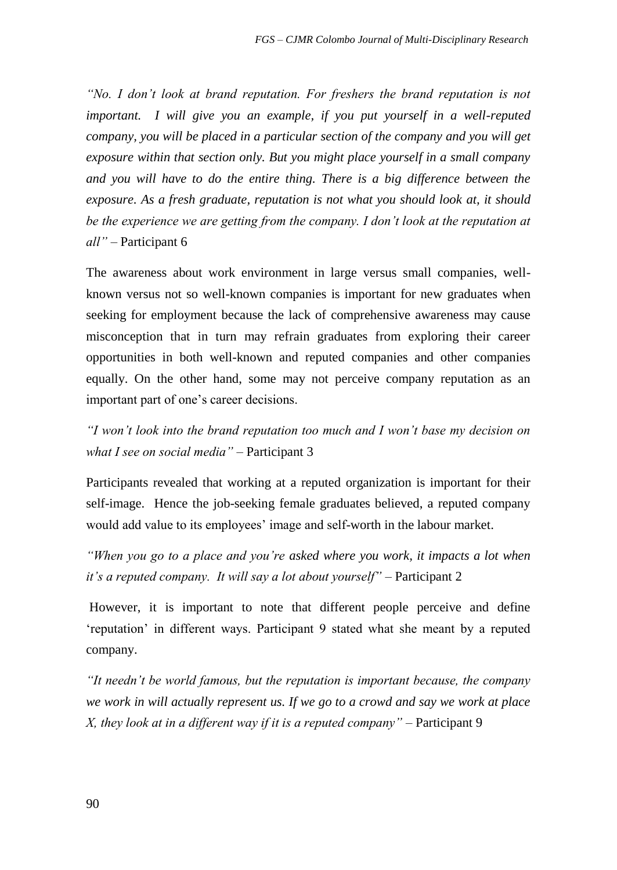*"No. I don't look at brand reputation. For freshers the brand reputation is not important.* I will give you an example, if you put yourself in a well-reputed *company, you will be placed in a particular section of the company and you will get exposure within that section only. But you might place yourself in a small company and you will have to do the entire thing. There is a big difference between the exposure. As a fresh graduate, reputation is not what you should look at, it should*  be the experience we are getting from the company. I don't look at the reputation at *all"* – Participant 6

The awareness about work environment in large versus small companies, wellknown versus not so well-known companies is important for new graduates when seeking for employment because the lack of comprehensive awareness may cause misconception that in turn may refrain graduates from exploring their career opportunities in both well-known and reputed companies and other companies equally. On the other hand, some may not perceive company reputation as an important part of one's career decisions.

*"I won't look into the brand reputation too much and I won't base my decision on what I see on social media"* – Participant 3

Participants revealed that working at a reputed organization is important for their self-image. Hence the job-seeking female graduates believed, a reputed company would add value to its employees' image and self-worth in the labour market.

*"When you go to a place and you're asked where you work, it impacts a lot when it's a reputed company. It will say a lot about yourself"* – Participant 2

However, it is important to note that different people perceive and define 'reputation' in different ways. Participant 9 stated what she meant by a reputed company.

*"It needn't be world famous, but the reputation is important because, the company we work in will actually represent us. If we go to a crowd and say we work at place X, they look at in a different way if it is a reputed company"* – Participant 9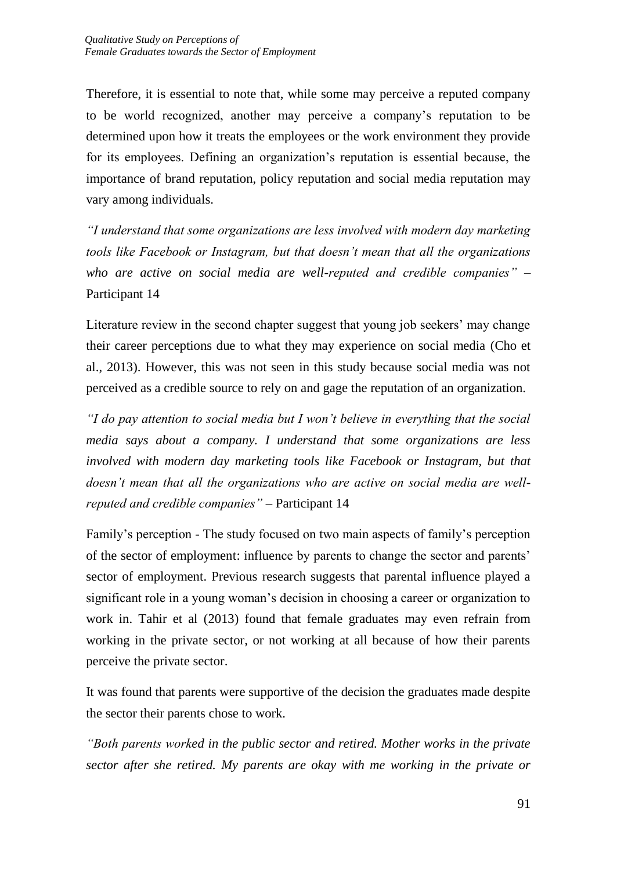Therefore, it is essential to note that, while some may perceive a reputed company to be world recognized, another may perceive a company's reputation to be determined upon how it treats the employees or the work environment they provide for its employees. Defining an organization's reputation is essential because, the importance of brand reputation, policy reputation and social media reputation may vary among individuals.

*"I understand that some organizations are less involved with modern day marketing tools like Facebook or Instagram, but that doesn't mean that all the organizations who are active on social media are well-reputed and credible companies"* – Participant 14

Literature review in the second chapter suggest that young job seekers' may change their career perceptions due to what they may experience on social media (Cho et al., 2013). However, this was not seen in this study because social media was not perceived as a credible source to rely on and gage the reputation of an organization.

*"I do pay attention to social media but I won't believe in everything that the social media says about a company. I understand that some organizations are less involved with modern day marketing tools like Facebook or Instagram, but that doesn't mean that all the organizations who are active on social media are wellreputed and credible companies"* – Participant 14

Family's perception - The study focused on two main aspects of family's perception of the sector of employment: influence by parents to change the sector and parents' sector of employment. Previous research suggests that parental influence played a significant role in a young woman's decision in choosing a career or organization to work in. Tahir et al (2013) found that female graduates may even refrain from working in the private sector, or not working at all because of how their parents perceive the private sector.

It was found that parents were supportive of the decision the graduates made despite the sector their parents chose to work.

*"Both parents worked in the public sector and retired. Mother works in the private sector after she retired. My parents are okay with me working in the private or*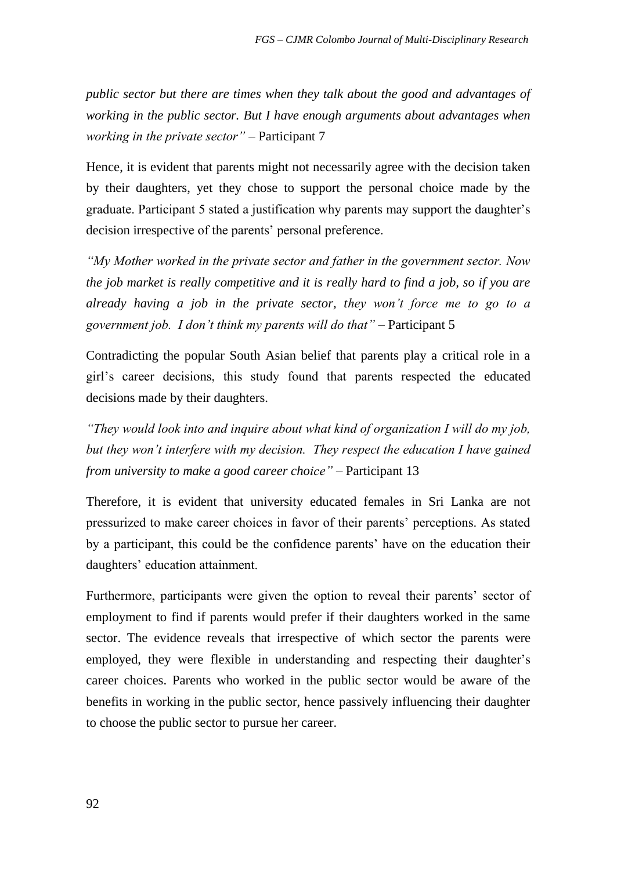*public sector but there are times when they talk about the good and advantages of working in the public sector. But I have enough arguments about advantages when working in the private sector"* – Participant 7

Hence, it is evident that parents might not necessarily agree with the decision taken by their daughters, yet they chose to support the personal choice made by the graduate. Participant 5 stated a justification why parents may support the daughter's decision irrespective of the parents' personal preference.

*"My Mother worked in the private sector and father in the government sector. Now the job market is really competitive and it is really hard to find a job, so if you are already having a job in the private sector, they won't force me to go to a government job. I don't think my parents will do that"* – Participant 5

Contradicting the popular South Asian belief that parents play a critical role in a girl's career decisions, this study found that parents respected the educated decisions made by their daughters.

*"They would look into and inquire about what kind of organization I will do my job,*  but they won't interfere with my decision. They respect the education I have gained *from university to make a good career choice"* – Participant 13

Therefore, it is evident that university educated females in Sri Lanka are not pressurized to make career choices in favor of their parents' perceptions. As stated by a participant, this could be the confidence parents' have on the education their daughters' education attainment.

Furthermore, participants were given the option to reveal their parents' sector of employment to find if parents would prefer if their daughters worked in the same sector. The evidence reveals that irrespective of which sector the parents were employed, they were flexible in understanding and respecting their daughter's career choices. Parents who worked in the public sector would be aware of the benefits in working in the public sector, hence passively influencing their daughter to choose the public sector to pursue her career.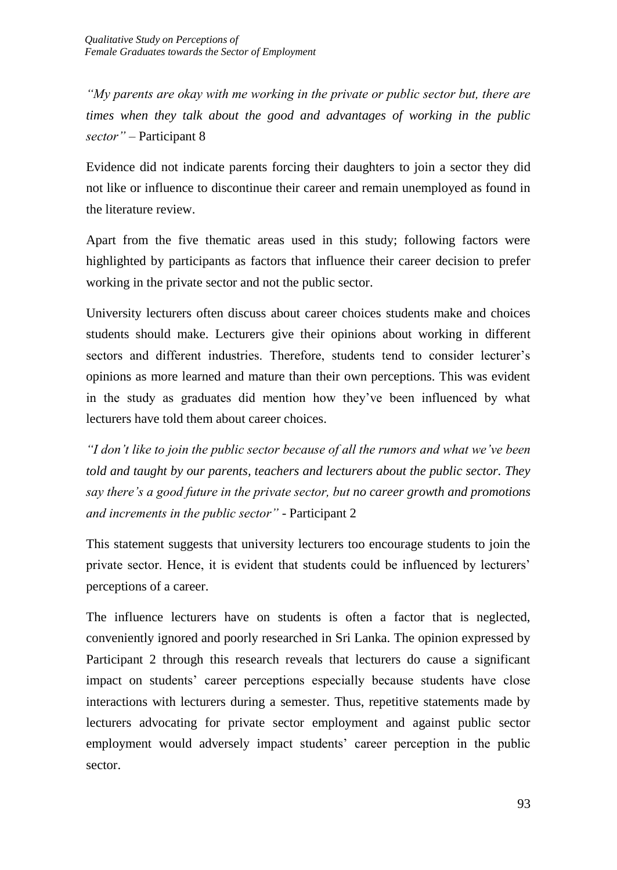*"My parents are okay with me working in the private or public sector but, there are times when they talk about the good and advantages of working in the public sector"* – Participant 8

Evidence did not indicate parents forcing their daughters to join a sector they did not like or influence to discontinue their career and remain unemployed as found in the literature review.

Apart from the five thematic areas used in this study; following factors were highlighted by participants as factors that influence their career decision to prefer working in the private sector and not the public sector.

University lecturers often discuss about career choices students make and choices students should make. Lecturers give their opinions about working in different sectors and different industries. Therefore, students tend to consider lecturer's opinions as more learned and mature than their own perceptions. This was evident in the study as graduates did mention how they've been influenced by what lecturers have told them about career choices.

*"I don't like to join the public sector because of all the rumors and what we've been told and taught by our parents, teachers and lecturers about the public sector. They say there's a good future in the private sector, but no career growth and promotions and increments in the public sector"* - Participant 2

This statement suggests that university lecturers too encourage students to join the private sector. Hence, it is evident that students could be influenced by lecturers' perceptions of a career.

The influence lecturers have on students is often a factor that is neglected, conveniently ignored and poorly researched in Sri Lanka. The opinion expressed by Participant 2 through this research reveals that lecturers do cause a significant impact on students' career perceptions especially because students have close interactions with lecturers during a semester. Thus, repetitive statements made by lecturers advocating for private sector employment and against public sector employment would adversely impact students' career perception in the public sector.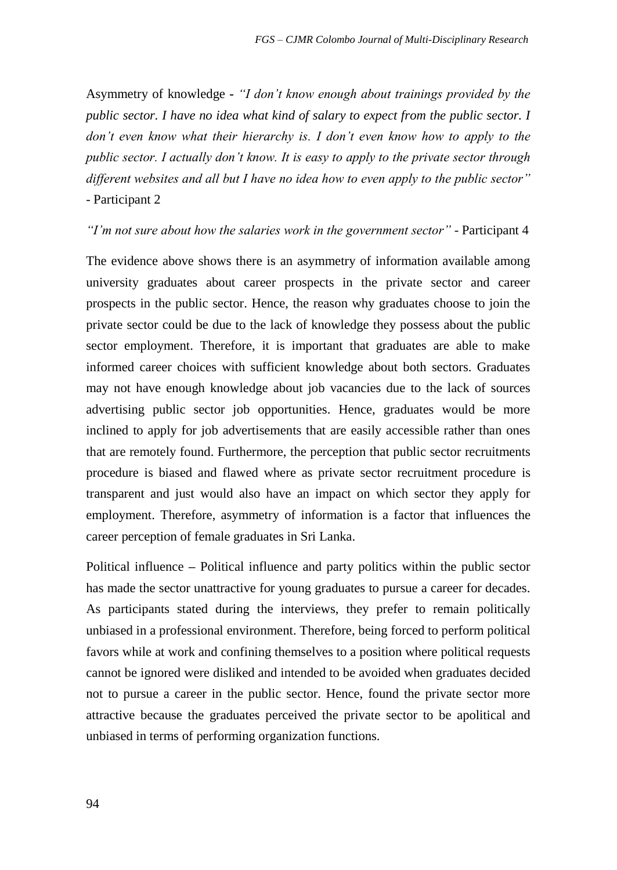Asymmetry of knowledge **-** *"I don't know enough about trainings provided by the public sector. I have no idea what kind of salary to expect from the public sector. I don't even know what their hierarchy is. I don't even know how to apply to the public sector. I actually don't know. It is easy to apply to the private sector through different websites and all but I have no idea how to even apply to the public sector"* - Participant 2

*"I'm not sure about how the salaries work in the government sector"* - Participant 4

The evidence above shows there is an asymmetry of information available among university graduates about career prospects in the private sector and career prospects in the public sector. Hence, the reason why graduates choose to join the private sector could be due to the lack of knowledge they possess about the public sector employment. Therefore, it is important that graduates are able to make informed career choices with sufficient knowledge about both sectors. Graduates may not have enough knowledge about job vacancies due to the lack of sources advertising public sector job opportunities. Hence, graduates would be more inclined to apply for job advertisements that are easily accessible rather than ones that are remotely found. Furthermore, the perception that public sector recruitments procedure is biased and flawed where as private sector recruitment procedure is transparent and just would also have an impact on which sector they apply for employment. Therefore, asymmetry of information is a factor that influences the career perception of female graduates in Sri Lanka.

Political influence **–** Political influence and party politics within the public sector has made the sector unattractive for young graduates to pursue a career for decades. As participants stated during the interviews, they prefer to remain politically unbiased in a professional environment. Therefore, being forced to perform political favors while at work and confining themselves to a position where political requests cannot be ignored were disliked and intended to be avoided when graduates decided not to pursue a career in the public sector. Hence, found the private sector more attractive because the graduates perceived the private sector to be apolitical and unbiased in terms of performing organization functions.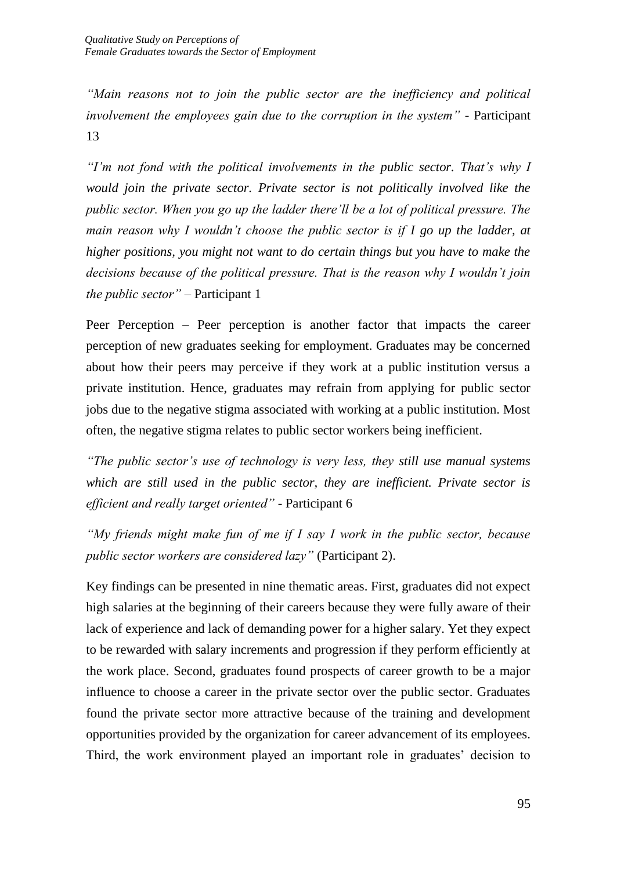*"Main reasons not to join the public sector are the inefficiency and political involvement the employees gain due to the corruption in the system"* - Participant 13

*"I'm not fond with the political involvements in the public sector. That's why I would join the private sector. Private sector is not politically involved like the public sector. When you go up the ladder there'll be a lot of political pressure. The main reason why I wouldn't choose the public sector is if I go up the ladder, at higher positions, you might not want to do certain things but you have to make the decisions because of the political pressure. That is the reason why I wouldn't join the public sector"* – Participant 1

Peer Perception – Peer perception is another factor that impacts the career perception of new graduates seeking for employment. Graduates may be concerned about how their peers may perceive if they work at a public institution versus a private institution. Hence, graduates may refrain from applying for public sector jobs due to the negative stigma associated with working at a public institution. Most often, the negative stigma relates to public sector workers being inefficient.

*"The public sector's use of technology is very less, they still use manual systems which are still used in the public sector, they are inefficient. Private sector is efficient and really target oriented"* - Participant 6

*"My friends might make fun of me if I say I work in the public sector, because public sector workers are considered lazy"* (Participant 2).

Key findings can be presented in nine thematic areas. First, graduates did not expect high salaries at the beginning of their careers because they were fully aware of their lack of experience and lack of demanding power for a higher salary. Yet they expect to be rewarded with salary increments and progression if they perform efficiently at the work place. Second, graduates found prospects of career growth to be a major influence to choose a career in the private sector over the public sector. Graduates found the private sector more attractive because of the training and development opportunities provided by the organization for career advancement of its employees. Third, the work environment played an important role in graduates' decision to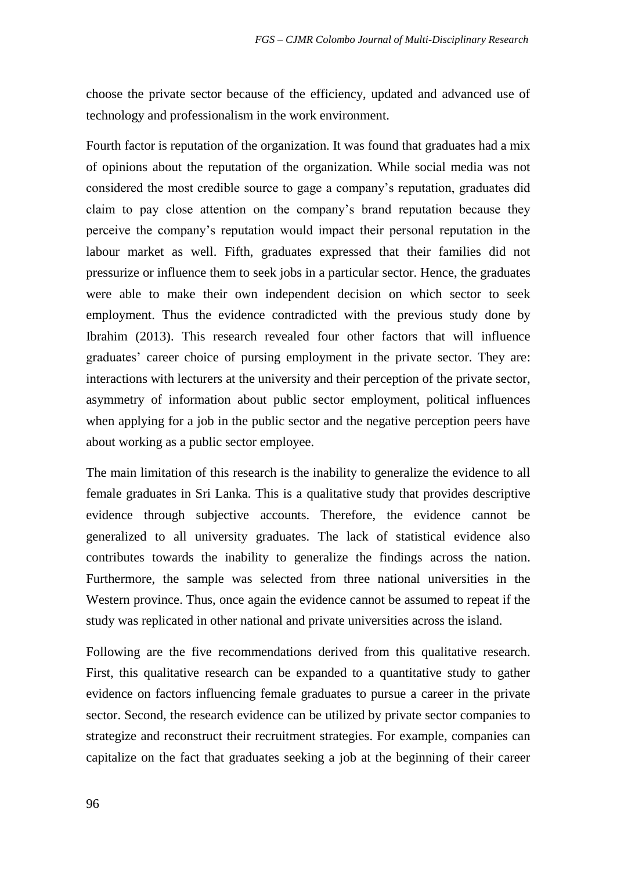choose the private sector because of the efficiency, updated and advanced use of technology and professionalism in the work environment.

Fourth factor is reputation of the organization. It was found that graduates had a mix of opinions about the reputation of the organization. While social media was not considered the most credible source to gage a company's reputation, graduates did claim to pay close attention on the company's brand reputation because they perceive the company's reputation would impact their personal reputation in the labour market as well. Fifth, graduates expressed that their families did not pressurize or influence them to seek jobs in a particular sector. Hence, the graduates were able to make their own independent decision on which sector to seek employment. Thus the evidence contradicted with the previous study done by Ibrahim (2013). This research revealed four other factors that will influence graduates' career choice of pursing employment in the private sector. They are: interactions with lecturers at the university and their perception of the private sector, asymmetry of information about public sector employment, political influences when applying for a job in the public sector and the negative perception peers have about working as a public sector employee.

The main limitation of this research is the inability to generalize the evidence to all female graduates in Sri Lanka. This is a qualitative study that provides descriptive evidence through subjective accounts. Therefore, the evidence cannot be generalized to all university graduates. The lack of statistical evidence also contributes towards the inability to generalize the findings across the nation. Furthermore, the sample was selected from three national universities in the Western province. Thus, once again the evidence cannot be assumed to repeat if the study was replicated in other national and private universities across the island.

Following are the five recommendations derived from this qualitative research. First, this qualitative research can be expanded to a quantitative study to gather evidence on factors influencing female graduates to pursue a career in the private sector. Second, the research evidence can be utilized by private sector companies to strategize and reconstruct their recruitment strategies. For example, companies can capitalize on the fact that graduates seeking a job at the beginning of their career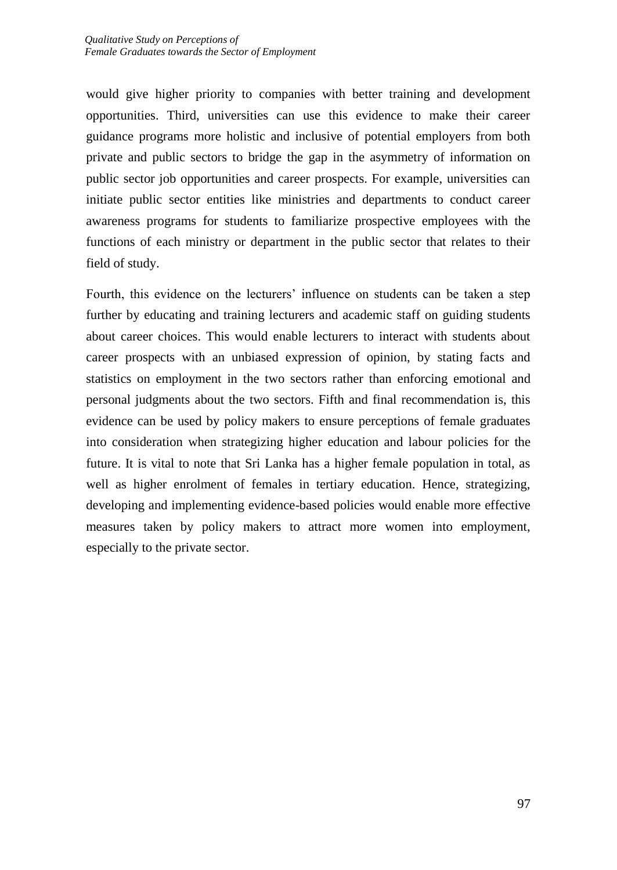would give higher priority to companies with better training and development opportunities. Third, universities can use this evidence to make their career guidance programs more holistic and inclusive of potential employers from both private and public sectors to bridge the gap in the asymmetry of information on public sector job opportunities and career prospects. For example, universities can initiate public sector entities like ministries and departments to conduct career awareness programs for students to familiarize prospective employees with the functions of each ministry or department in the public sector that relates to their field of study.

Fourth, this evidence on the lecturers' influence on students can be taken a step further by educating and training lecturers and academic staff on guiding students about career choices. This would enable lecturers to interact with students about career prospects with an unbiased expression of opinion, by stating facts and statistics on employment in the two sectors rather than enforcing emotional and personal judgments about the two sectors. Fifth and final recommendation is, this evidence can be used by policy makers to ensure perceptions of female graduates into consideration when strategizing higher education and labour policies for the future. It is vital to note that Sri Lanka has a higher female population in total, as well as higher enrolment of females in tertiary education. Hence, strategizing, developing and implementing evidence-based policies would enable more effective measures taken by policy makers to attract more women into employment, especially to the private sector.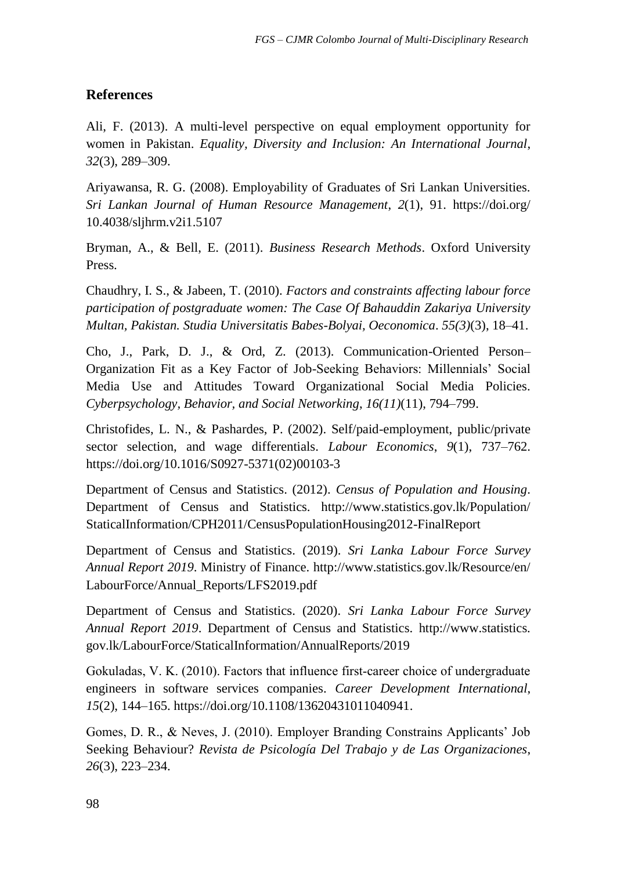## **References**

Ali, F. (2013). A multi-level perspective on equal employment opportunity for women in Pakistan. *Equality, Diversity and Inclusion: An International Journal*, *32*(3), 289–309.

Ariyawansa, R. G. (2008). Employability of Graduates of Sri Lankan Universities. *Sri Lankan Journal of Human Resource Management*, *2*(1), 91. https://doi.org/ 10.4038/sljhrm.v2i1.5107

Bryman, A., & Bell, E. (2011). *Business Research Methods*. Oxford University Press.

Chaudhry, I. S., & Jabeen, T. (2010). *Factors and constraints affecting labour force participation of postgraduate women: The Case Of Bahauddin Zakariya University Multan, Pakistan. Studia Universitatis Babes-Bolyai, Oeconomica*. *55(3)*(3), 18–41.

Cho, J., Park, D. J., & Ord, Z. (2013). Communication-Oriented Person– Organization Fit as a Key Factor of Job-Seeking Behaviors: Millennials' Social Media Use and Attitudes Toward Organizational Social Media Policies. *Cyberpsychology, Behavior, and Social Networking*, *16(11)*(11), 794–799.

Christofides, L. N., & Pashardes, P. (2002). Self/paid-employment, public/private sector selection, and wage differentials. *Labour Economics*, *9*(1), 737–762. https://doi.org/10.1016/S0927-5371(02)00103-3

Department of Census and Statistics. (2012). *Census of Population and Housing*. Department of Census and Statistics. http://www.statistics.gov.lk/Population/ StaticalInformation/CPH2011/CensusPopulationHousing2012-FinalReport

Department of Census and Statistics. (2019). *Sri Lanka Labour Force Survey Annual Report 2019*. Ministry of Finance. http://www.statistics.gov.lk/Resource/en/ LabourForce/Annual\_Reports/LFS2019.pdf

Department of Census and Statistics. (2020). *Sri Lanka Labour Force Survey Annual Report 2019*. Department of Census and Statistics. http://www.statistics. gov.lk/LabourForce/StaticalInformation/AnnualReports/2019

Gokuladas, V. K. (2010). Factors that influence first‐career choice of undergraduate engineers in software services companies. *Career Development International*, *15*(2), 144–165. https://doi.org/10.1108/13620431011040941.

Gomes, D. R., & Neves, J. (2010). Employer Branding Constrains Applicants' Job Seeking Behaviour? *Revista de Psicología Del Trabajo y de Las Organizaciones*, *26*(3), 223–234.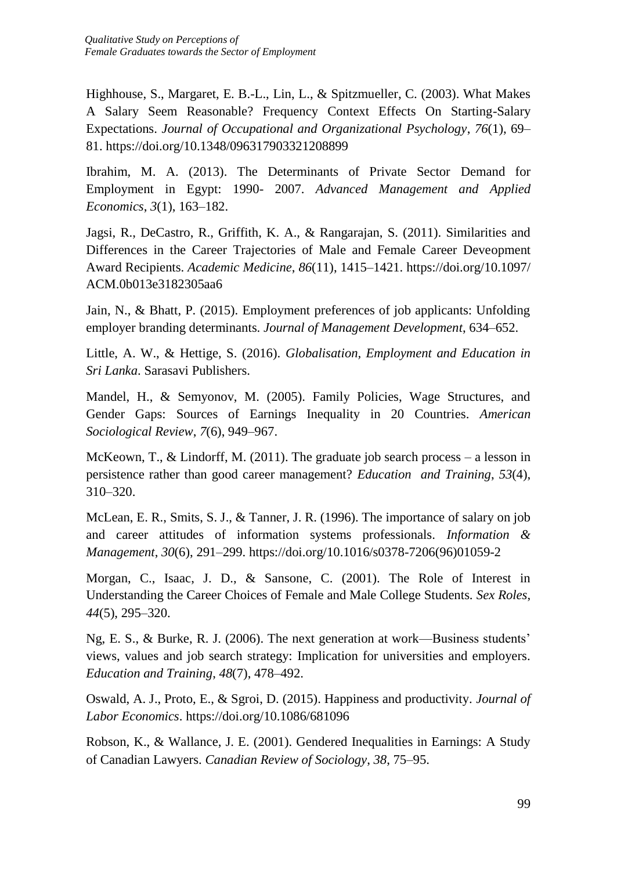Highhouse, S., Margaret, E. B.-L., Lin, L., & Spitzmueller, C. (2003). What Makes A Salary Seem Reasonable? Frequency Context Effects On Starting-Salary Expectations. *Journal of Occupational and Organizational Psychology*, *76*(1), 69– 81. https://doi.org/10.1348/096317903321208899

Ibrahim, M. A. (2013). The Determinants of Private Sector Demand for Employment in Egypt: 1990- 2007. *Advanced Management and Applied Economics*, *3*(1), 163–182.

Jagsi, R., DeCastro, R., Griffith, K. A., & Rangarajan, S. (2011). Similarities and Differences in the Career Trajectories of Male and Female Career Deveopment Award Recipients. *Academic Medicine*, *86*(11), 1415–1421. https://doi.org/10.1097/ ACM.0b013e3182305aa6

Jain, N., & Bhatt, P. (2015). Employment preferences of job applicants: Unfolding employer branding determinants. *Journal of Management Development*, 634–652.

Little, A. W., & Hettige, S. (2016). *Globalisation, Employment and Education in Sri Lanka*. Sarasavi Publishers.

Mandel, H., & Semyonov, M. (2005). Family Policies, Wage Structures, and Gender Gaps: Sources of Earnings Inequality in 20 Countries. *American Sociological Review*, *7*(6), 949–967.

McKeown, T., & Lindorff, M. (2011). The graduate job search process – a lesson in persistence rather than good career management? *Education and Training*, *53*(4), 310–320.

McLean, E. R., Smits, S. J., & Tanner, J. R. (1996). The importance of salary on job and career attitudes of information systems professionals. *Information & Management*, *30*(6), 291–299. https://doi.org/10.1016/s0378-7206(96)01059-2

Morgan, C., Isaac, J. D., & Sansone, C. (2001). The Role of Interest in Understanding the Career Choices of Female and Male College Students. *Sex Roles*, *44*(5), 295–320.

Ng, E. S., & Burke, R. J. (2006). The next generation at work—Business students' views, values and job search strategy: Implication for universities and employers. *Education and Training*, *48*(7), 478–492.

Oswald, A. J., Proto, E., & Sgroi, D. (2015). Happiness and productivity. *Journal of Labor Economics*. https://doi.org/10.1086/681096

Robson, K., & Wallance, J. E. (2001). Gendered Inequalities in Earnings: A Study of Canadian Lawyers. *Canadian Review of Sociology*, *38*, 75–95.